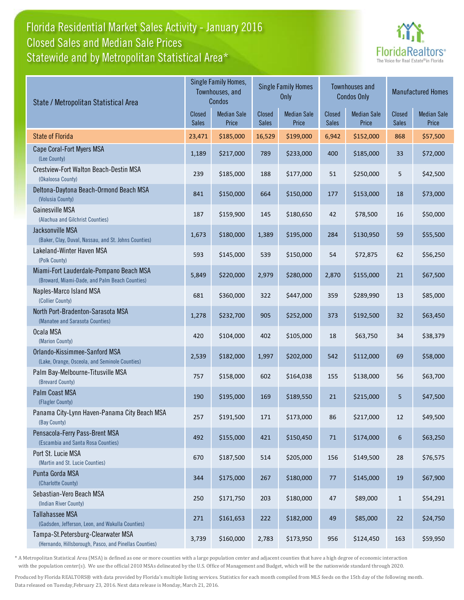## Florida Residential Market Sales Activity - January 2016 Statewide and by Metropolitan Statistical Area\* Closed Sales and Median Sale Prices



| State / Metropolitan Statistical Area                                                        | Single Family Homes,<br>Townhouses, and<br><b>Condos</b> |                             | <b>Single Family Homes</b><br>Only |                             | <b>Townhouses and</b><br><b>Condos Only</b> |                             | <b>Manufactured Homes</b> |                             |
|----------------------------------------------------------------------------------------------|----------------------------------------------------------|-----------------------------|------------------------------------|-----------------------------|---------------------------------------------|-----------------------------|---------------------------|-----------------------------|
|                                                                                              | <b>Closed</b><br><b>Sales</b>                            | <b>Median Sale</b><br>Price | Closed<br><b>Sales</b>             | <b>Median Sale</b><br>Price | Closed<br><b>Sales</b>                      | <b>Median Sale</b><br>Price | Closed<br><b>Sales</b>    | <b>Median Sale</b><br>Price |
| <b>State of Florida</b>                                                                      | 23,471                                                   | \$185,000                   | 16,529                             | \$199,000                   | 6,942                                       | \$152,000                   | 868                       | \$57,500                    |
| Cape Coral-Fort Myers MSA<br>(Lee County)                                                    | 1,189                                                    | \$217,000                   | 789                                | \$233,000                   | 400                                         | \$185,000                   | 33                        | \$72,000                    |
| Crestview-Fort Walton Beach-Destin MSA<br>(Okaloosa County)                                  | 239                                                      | \$185,000                   | 188                                | \$177,000                   | 51                                          | \$250,000                   | 5                         | \$42,500                    |
| Deltona-Daytona Beach-Ormond Beach MSA<br>(Volusia County)                                   | 841                                                      | \$150,000                   | 664                                | \$150,000                   | 177                                         | \$153,000                   | 18                        | \$73,000                    |
| Gainesville MSA<br>(Alachua and Gilchrist Counties)                                          | 187                                                      | \$159,900                   | 145                                | \$180,650                   | 42                                          | \$78,500                    | 16                        | \$50,000                    |
| Jacksonville MSA<br>(Baker, Clay, Duval, Nassau, and St. Johns Counties)                     | 1,673                                                    | \$180,000                   | 1,389                              | \$195,000                   | 284                                         | \$130,950                   | 59                        | \$55,500                    |
| Lakeland-Winter Haven MSA<br>(Polk County)                                                   | 593                                                      | \$145,000                   | 539                                | \$150,000                   | 54                                          | \$72,875                    | 62                        | \$56,250                    |
| Miami-Fort Lauderdale-Pompano Beach MSA<br>(Broward, Miami-Dade, and Palm Beach Counties)    | 5,849                                                    | \$220,000                   | 2,979                              | \$280,000                   | 2,870                                       | \$155,000                   | 21                        | \$67,500                    |
| Naples-Marco Island MSA<br>(Collier County)                                                  | 681                                                      | \$360,000                   | 322                                | \$447,000                   | 359                                         | \$289,990                   | 13                        | \$85,000                    |
| North Port-Bradenton-Sarasota MSA<br>(Manatee and Sarasota Counties)                         | 1,278                                                    | \$232,700                   | 905                                | \$252,000                   | 373                                         | \$192,500                   | 32                        | \$63,450                    |
| Ocala MSA<br>(Marion County)                                                                 | 420                                                      | \$104,000                   | 402                                | \$105,000                   | 18                                          | \$63,750                    | 34                        | \$38,379                    |
| Orlando-Kissimmee-Sanford MSA<br>(Lake, Orange, Osceola, and Seminole Counties)              | 2,539                                                    | \$182,000                   | 1,997                              | \$202,000                   | 542                                         | \$112,000                   | 69                        | \$58,000                    |
| Palm Bay-Melbourne-Titusville MSA<br>(Brevard County)                                        | 757                                                      | \$158,000                   | 602                                | \$164,038                   | 155                                         | \$138,000                   | 56                        | \$63,700                    |
| Palm Coast MSA<br>(Flagler County)                                                           | 190                                                      | \$195,000                   | 169                                | \$189,550                   | 21                                          | \$215,000                   | 5                         | \$47,500                    |
| Panama City-Lynn Haven-Panama City Beach MSA<br>(Bay County)                                 | 257                                                      | \$191,500                   | 171                                | \$173,000                   | 86                                          | \$217,000                   | 12                        | \$49,500                    |
| Pensacola-Ferry Pass-Brent MSA<br>(Escambia and Santa Rosa Counties)                         | 492                                                      | \$155,000                   | 421                                | \$150,450                   | $71\,$                                      | \$174,000                   | $\boldsymbol{6}$          | \$63,250                    |
| Port St. Lucie MSA<br>(Martin and St. Lucie Counties)                                        | 670                                                      | \$187,500                   | 514                                | \$205,000                   | 156                                         | \$149,500                   | 28                        | \$76,575                    |
| Punta Gorda MSA<br>(Charlotte County)                                                        | 344                                                      | \$175,000                   | 267                                | \$180,000                   | $77 \,$                                     | \$145,000                   | 19                        | \$67,900                    |
| Sebastian-Vero Beach MSA<br>(Indian River County)                                            | 250                                                      | \$171,750                   | 203                                | \$180,000                   | 47                                          | \$89,000                    | $\mathbf{1}$              | \$54,291                    |
| <b>Tallahassee MSA</b><br>(Gadsden, Jefferson, Leon, and Wakulla Counties)                   | 271                                                      | \$161,653                   | 222                                | \$182,000                   | 49                                          | \$85,000                    | 22                        | \$24,750                    |
| Tampa-St.Petersburg-Clearwater MSA<br>(Hernando, Hillsborough, Pasco, and Pinellas Counties) | 3,739                                                    | \$160,000                   | 2,783                              | \$173,950                   | 956                                         | \$124,450                   | 163                       | \$59,950                    |

\* A Metropolitan Statistical Area (MSA) is defined as one or more counties with a large population center and adjacent counties that have a high degree of economic interaction with the population center(s). We use the official 2010 MSAs delineated by the U.S. Office of Management and Budget, which will be the nationwide standard through 2020.

Produced by Florida REALTORS® with data provided by Florida's multiple listing services. Statistics for each month compiled from MLS feeds on the 15th day of the following month. Data released on Tuesday,February 23, 2016. Next data release is Monday, March 21, 2016.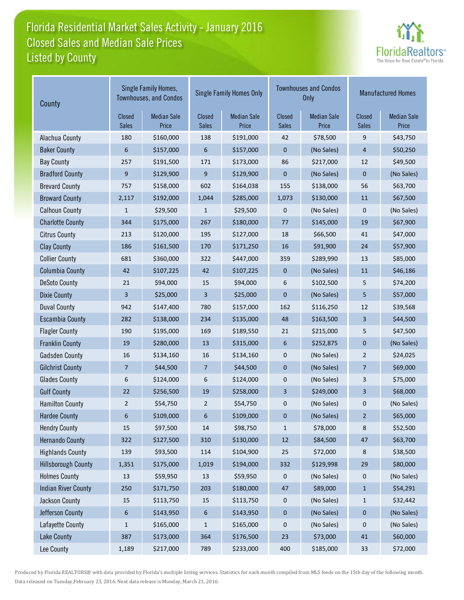## Florida Residential Market Sales Activity - January 2016 Listed by County Closed Sales and Median Sale Prices



| County                     | Single Family Homes,<br><b>Townhouses, and Condos</b> |                             |                        | <b>Single Family Homes Only</b> |                               | <b>Townhouses and Condos</b><br>Only | <b>Manufactured Homes</b> |                             |  |
|----------------------------|-------------------------------------------------------|-----------------------------|------------------------|---------------------------------|-------------------------------|--------------------------------------|---------------------------|-----------------------------|--|
|                            | Closed<br><b>Sales</b>                                | <b>Median Sale</b><br>Price | Closed<br><b>Sales</b> | <b>Median Sale</b><br>Price     | <b>Closed</b><br><b>Sales</b> | <b>Median Sale</b><br>Price          | Closed<br>Sales           | <b>Median Sale</b><br>Price |  |
| Alachua County             | 180                                                   | \$160,000                   | 138                    | \$191,000                       | 42                            | \$78,500                             | 9                         | \$43,750                    |  |
| <b>Baker County</b>        | 6                                                     | \$157,000                   | 6                      | \$157,000                       | $\boldsymbol{0}$              | (No Sales)                           | 4                         | \$50,250                    |  |
| <b>Bay County</b>          | 257                                                   | \$191,500                   | 171                    | \$173,000                       | 86                            | \$217,000                            | 12                        | \$49,500                    |  |
| <b>Bradford County</b>     | 9                                                     | \$129,900                   | 9                      | \$129,900                       | $\mathbf{0}$                  | (No Sales)                           | 0                         | (No Sales)                  |  |
| <b>Brevard County</b>      | 757                                                   | \$158,000                   | 602                    | \$164,038                       | 155                           | \$138,000                            | 56                        | \$63,700                    |  |
| <b>Broward County</b>      | 2,117                                                 | \$192,000                   | 1,044                  | \$285,000                       | 1,073                         | \$130,000                            | 11                        | \$67,500                    |  |
| <b>Calhoun County</b>      | $\mathbf{1}$                                          | \$29,500                    | 1                      | \$29,500                        | 0                             | (No Sales)                           | $\mathbf 0$               | (No Sales)                  |  |
| <b>Charlotte County</b>    | 344                                                   | \$175,000                   | 267                    | \$180,000                       | 77                            | \$145,000                            | 19                        | \$67,900                    |  |
| <b>Citrus County</b>       | 213                                                   | \$120,000                   | 195                    | \$127,000                       | 18                            | \$66,500                             | 41                        | \$47,000                    |  |
| <b>Clay County</b>         | 186                                                   | \$161,500                   | 170                    | \$171,250                       | 16                            | \$91,900                             | 24                        | \$57,900                    |  |
| <b>Collier County</b>      | 681                                                   | \$360,000                   | 322                    | \$447,000                       | 359                           | \$289,990                            | 13                        | \$85,000                    |  |
| <b>Columbia County</b>     | 42                                                    | \$107,225                   | 42                     | \$107,225                       | $\mathbf 0$                   | (No Sales)                           | 11                        | \$46,186                    |  |
| <b>DeSoto County</b>       | 21                                                    | \$94,000                    | 15                     | \$94,000                        | 6                             | \$102,500                            | 5                         | \$74,200                    |  |
| <b>Dixie County</b>        | 3                                                     | \$25,000                    | 3                      | \$25,000                        | $\mathbf{0}$                  | (No Sales)                           | 5                         | \$57,000                    |  |
| <b>Duval County</b>        | 942                                                   | \$147,400                   | 780                    | \$157,000                       | 162                           | \$116,250                            | 12                        | \$39,568                    |  |
| <b>Escambia County</b>     | 282                                                   | \$138,000                   | 234                    | \$135,000                       | 48                            | \$163,500                            | 3                         | \$44,500                    |  |
| <b>Flagler County</b>      | 190                                                   | \$195,000                   | 169                    | \$189,550                       | 21                            | \$215,000                            | 5                         | \$47,500                    |  |
| <b>Franklin County</b>     | 19                                                    | \$280,000                   | 13                     | \$315,000                       | 6                             | \$252,875                            | 0                         | (No Sales)                  |  |
| <b>Gadsden County</b>      | 16                                                    | \$134,160                   | 16                     | \$134,160                       | 0                             | (No Sales)                           | 2                         | \$24,025                    |  |
| <b>Gilchrist County</b>    | 7                                                     | \$44,500                    | $\overline{7}$         | \$44,500                        | $\boldsymbol{0}$              | (No Sales)                           | 7                         | \$69,000                    |  |
| <b>Glades County</b>       | 6                                                     | \$124,000                   | 6                      | \$124,000                       | 0                             | (No Sales)                           | 3                         | \$75,000                    |  |
| <b>Gulf County</b>         | 22                                                    | \$256,500                   | 19                     | \$258,000                       | 3                             | \$249,000                            | 3                         | \$68,000                    |  |
| <b>Hamilton County</b>     | $\overline{2}$                                        | \$54,750                    | 2                      | \$54,750                        | 0                             | (No Sales)                           | 0                         | (No Sales)                  |  |
| <b>Hardee County</b>       | 6                                                     | \$109,000                   | 6                      | \$109,000                       | 0                             | (No Sales)                           | $\overline{2}$            | \$65,000                    |  |
| <b>Hendry County</b>       | $15\,$                                                | \$97,500                    | 14                     | \$98,750                        | $\mathbf{1}$                  | \$78,000                             | 8                         | \$52,500                    |  |
| <b>Hernando County</b>     | 322                                                   | \$127,500                   | 310                    | \$130,000                       | 12                            | \$84,500                             | $47\,$                    | \$63,700                    |  |
| <b>Highlands County</b>    | 139                                                   | \$93,500                    | 114                    | \$104,900                       | 25                            | \$72,000                             | 8                         | \$38,500                    |  |
| <b>Hillsborough County</b> | 1,351                                                 | \$175,000                   | 1,019                  | \$194,000                       | 332                           | \$129,998                            | 29                        | \$80,000                    |  |
| <b>Holmes County</b>       | 13                                                    | \$59,950                    | 13                     | \$59,950                        | 0                             | (No Sales)                           | 0                         | (No Sales)                  |  |
| <b>Indian River County</b> | 250                                                   | \$171,750                   | 203                    | \$180,000                       | 47                            | \$89,000                             | $\mathbf{1}$              | \$54,291                    |  |
| Jackson County             | $15\,$                                                | \$113,750                   | 15                     | \$113,750                       | 0                             | (No Sales)                           | $\mathbf{1}$              | \$32,442                    |  |
| Jefferson County           | $\boldsymbol{6}$                                      | \$143,950                   | $6\phantom{1}6$        | \$143,950                       | $\boldsymbol{0}$              | (No Sales)                           | $\pmb{0}$                 | (No Sales)                  |  |
| Lafayette County           | $\mathbf 1$                                           | \$165,000                   | $\mathbf 1$            | \$165,000                       | 0                             | (No Sales)                           | 0                         | (No Sales)                  |  |
| <b>Lake County</b>         | 387                                                   | \$173,000                   | 364                    | \$176,500                       | 23                            | \$73,000                             | $41\,$                    | \$60,000                    |  |
| Lee County                 | 1,189                                                 | \$217,000                   | 789                    | \$233,000                       | 400                           | \$185,000                            | 33                        | \$72,000                    |  |

Produced by Florida REALTORS® with data provided by Florida's multiple listing services. Statistics for each month compiled from MLS feeds on the 15th day of the following month. Data released on Tuesday,February 23, 2016. Next data release is Monday, March 21, 2016.